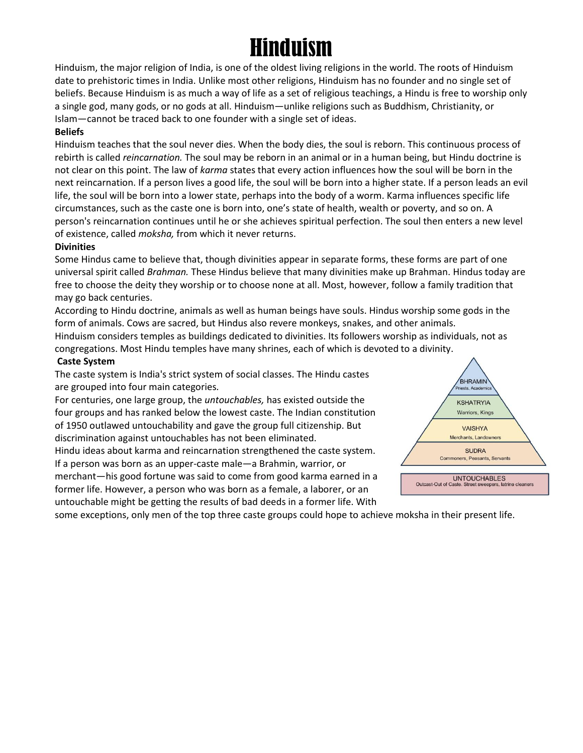# Hinduism

Hinduism, the major religion of India, is one of the oldest living religions in the world. The roots of Hinduism date to prehistoric times in India. Unlike most other religions, Hinduism has no founder and no single set of beliefs. Because Hinduism is as much a way of life as a set of religious teachings, a Hindu is free to worship only a single god, many gods, or no gods at all. Hinduism—unlike religions such as Buddhism, Christianity, or Islam—cannot be traced back to one founder with a single set of ideas.

#### **Beliefs**

Hinduism teaches that the soul never dies. When the body dies, the soul is reborn. This continuous process of rebirth is called *reincarnation.* The soul may be reborn in an animal or in a human being, but Hindu doctrine is not clear on this point. The law of *karma* states that every action influences how the soul will be born in the next reincarnation. If a person lives a good life, the soul will be born into a higher state. If a person leads an evil life, the soul will be born into a lower state, perhaps into the body of a worm. Karma influences specific life circumstances, such as the caste one is born into, one's state of health, wealth or poverty, and so on. A person's reincarnation continues until he or she achieves spiritual perfection. The soul then enters a new level of existence, called *moksha,* from which it never returns.

#### **Divinities**

Some Hindus came to believe that, though divinities appear in separate forms, these forms are part of one universal spirit called *Brahman.* These Hindus believe that many divinities make up Brahman. Hindus today are free to choose the deity they worship or to choose none at all. Most, however, follow a family tradition that may go back centuries.

According to Hindu doctrine, animals as well as human beings have souls. Hindus worship some gods in the form of animals. Cows are sacred, but Hindus also revere monkeys, snakes, and other animals.

Hinduism considers temples as buildings dedicated to divinities. Its followers worship as individuals, not as congregations. Most Hindu temples have many shrines, each of which is devoted to a divinity.

#### **Caste System**

The caste system is India's strict system of social classes. The Hindu castes are grouped into four main categories*.*

For centuries, one large group, the *untouchables,* has existed outside the four groups and has ranked below the lowest caste. The Indian constitution of 1950 outlawed untouchability and gave the group full citizenship. But discrimination against untouchables has not been eliminated.

Hindu ideas about karma and reincarnation strengthened the caste system. If a person was born as an upper-caste male—a Brahmin, warrior, or merchant—his good fortune was said to come from good karma earned in a former life. However, a person who was born as a female, a laborer, or an untouchable might be getting the results of bad deeds in a former life. With



some exceptions, only men of the top three caste groups could hope to achieve moksha in their present life.